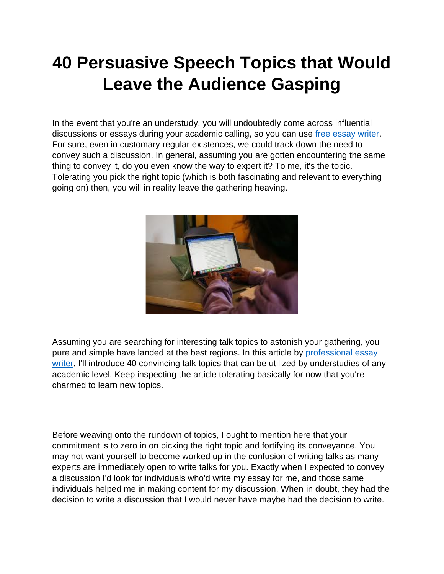# **40 Persuasive Speech Topics that Would Leave the Audience Gasping**

In the event that you're an understudy, you will undoubtedly come across influential discussions or essays during your academic calling, so you can use [free essay writer.](https://youressaywriter.net/) For sure, even in customary regular existences, we could track down the need to convey such a discussion. In general, assuming you are gotten encountering the same thing to convey it, do you even know the way to expert it? To me, it's the topic. Tolerating you pick the right topic (which is both fascinating and relevant to everything going on) then, you will in reality leave the gathering heaving.



Assuming you are searching for interesting talk topics to astonish your gathering, you pure and simple have landed at the best regions. In this article by [professional essay](https://youressaywriter.net/)  [writer,](https://youressaywriter.net/) I'll introduce 40 convincing talk topics that can be utilized by understudies of any academic level. Keep inspecting the article tolerating basically for now that you're charmed to learn new topics.

Before weaving onto the rundown of topics, I ought to mention here that your commitment is to zero in on picking the right topic and fortifying its conveyance. You may not want yourself to become worked up in the confusion of writing talks as many experts are immediately open to write talks for you. Exactly when I expected to convey a discussion I'd look for individuals who'd write my essay for me, and those same individuals helped me in making content for my discussion. When in doubt, they had the decision to write a discussion that I would never have maybe had the decision to write.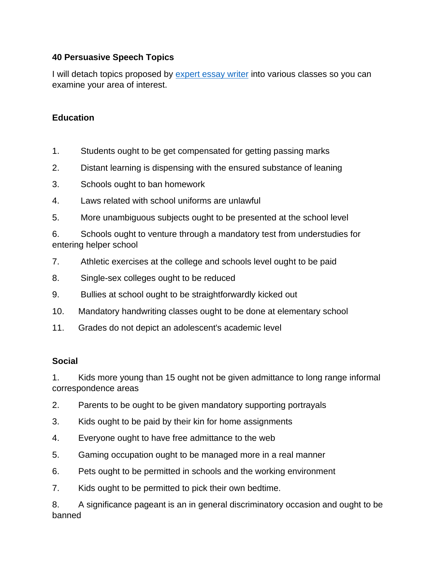# **40 Persuasive Speech Topics**

I will detach topics proposed by [expert essay writer](https://youressaywriter.net/) into various classes so you can examine your area of interest.

## **Education**

- 1. Students ought to be get compensated for getting passing marks
- 2. Distant learning is dispensing with the ensured substance of leaning
- 3. Schools ought to ban homework
- 4. Laws related with school uniforms are unlawful
- 5. More unambiguous subjects ought to be presented at the school level

6. Schools ought to venture through a mandatory test from understudies for entering helper school

- 7. Athletic exercises at the college and schools level ought to be paid
- 8. Single-sex colleges ought to be reduced
- 9. Bullies at school ought to be straightforwardly kicked out
- 10. Mandatory handwriting classes ought to be done at elementary school
- 11. Grades do not depict an adolescent's academic level

#### **Social**

1. Kids more young than 15 ought not be given admittance to long range informal correspondence areas

- 2. Parents to be ought to be given mandatory supporting portrayals
- 3. Kids ought to be paid by their kin for home assignments
- 4. Everyone ought to have free admittance to the web
- 5. Gaming occupation ought to be managed more in a real manner
- 6. Pets ought to be permitted in schools and the working environment
- 7. Kids ought to be permitted to pick their own bedtime.

8. A significance pageant is an in general discriminatory occasion and ought to be banned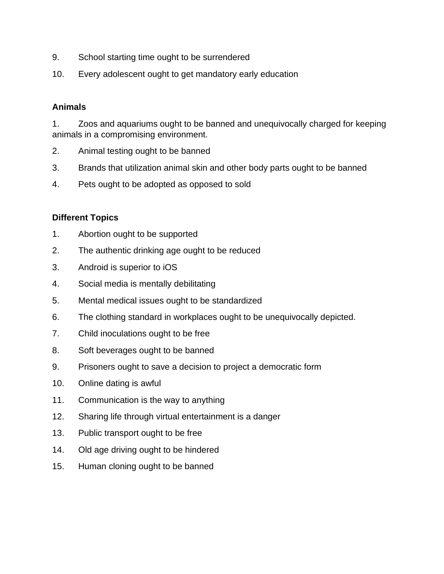- 9. School starting time ought to be surrendered
- 10. Every adolescent ought to get mandatory early education

## **Animals**

1. Zoos and aquariums ought to be banned and unequivocally charged for keeping animals in a compromising environment.

- 2. Animal testing ought to be banned
- 3. Brands that utilization animal skin and other body parts ought to be banned
- 4. Pets ought to be adopted as opposed to sold

## **Different Topics**

- 1. Abortion ought to be supported
- 2. The authentic drinking age ought to be reduced
- 3. Android is superior to iOS
- 4. Social media is mentally debilitating
- 5. Mental medical issues ought to be standardized
- 6. The clothing standard in workplaces ought to be unequivocally depicted.
- 7. Child inoculations ought to be free
- 8. Soft beverages ought to be banned
- 9. Prisoners ought to save a decision to project a democratic form
- 10. Online dating is awful
- 11. Communication is the way to anything
- 12. Sharing life through virtual entertainment is a danger
- 13. Public transport ought to be free
- 14. Old age driving ought to be hindered
- 15. Human cloning ought to be banned